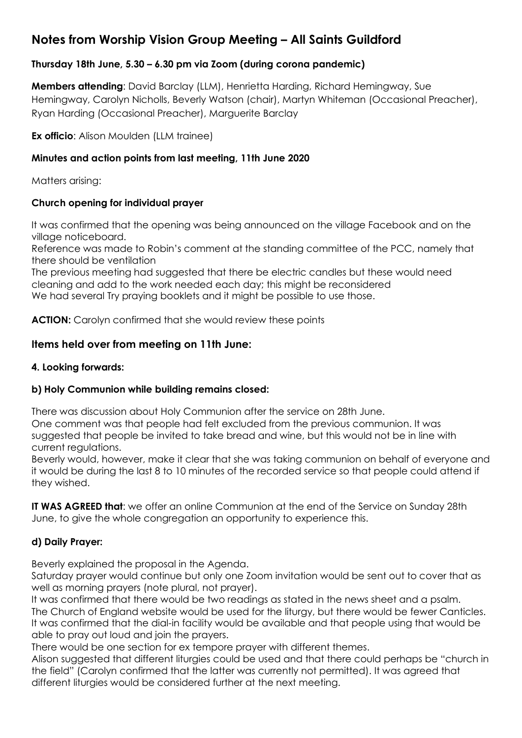# **Notes from Worship Vision Group Meeting – All Saints Guildford**

# **Thursday 18th June, 5.30 – 6.30 pm via Zoom (during corona pandemic)**

**Members attending**: David Barclay (LLM), Henrietta Harding, Richard Hemingway, Sue Hemingway, Carolyn Nicholls, Beverly Watson (chair), Martyn Whiteman (Occasional Preacher), Ryan Harding (Occasional Preacher), Marguerite Barclay

**Ex officio:** Alison Moulden (LLM trainee)

## **Minutes and action points from last meeting, 11th June 2020**

Matters arising:

### **Church opening for individual prayer**

It was confirmed that the opening was being announced on the village Facebook and on the village noticeboard.

Reference was made to Robin's comment at the standing committee of the PCC, namely that there should be ventilation

The previous meeting had suggested that there be electric candles but these would need cleaning and add to the work needed each day; this might be reconsidered We had several Try praying booklets and it might be possible to use those.

**ACTION:** Carolyn confirmed that she would review these points

## **Items held over from meeting on 11th June:**

### **4. Looking forwards:**

## **b) Holy Communion while building remains closed:**

There was discussion about Holy Communion after the service on 28th June.

One comment was that people had felt excluded from the previous communion. It was suggested that people be invited to take bread and wine, but this would not be in line with current regulations.

Beverly would, however, make it clear that she was taking communion on behalf of everyone and it would be during the last 8 to 10 minutes of the recorded service so that people could attend if they wished.

**IT WAS AGREED that**: we offer an online Communion at the end of the Service on Sunday 28th June, to give the whole congregation an opportunity to experience this.

## **d) Daily Prayer:**

Beverly explained the proposal in the Agenda.

Saturday prayer would continue but only one Zoom invitation would be sent out to cover that as well as morning prayers (note plural, not prayer).

It was confirmed that there would be two readings as stated in the news sheet and a psalm. The Church of England website would be used for the liturgy, but there would be fewer Canticles. It was confirmed that the dial-in facility would be available and that people using that would be able to pray out loud and join the prayers.

There would be one section for ex tempore prayer with different themes.

Alison suggested that different liturgies could be used and that there could perhaps be "church in the field" (Carolyn confirmed that the latter was currently not permitted). It was agreed that different liturgies would be considered further at the next meeting.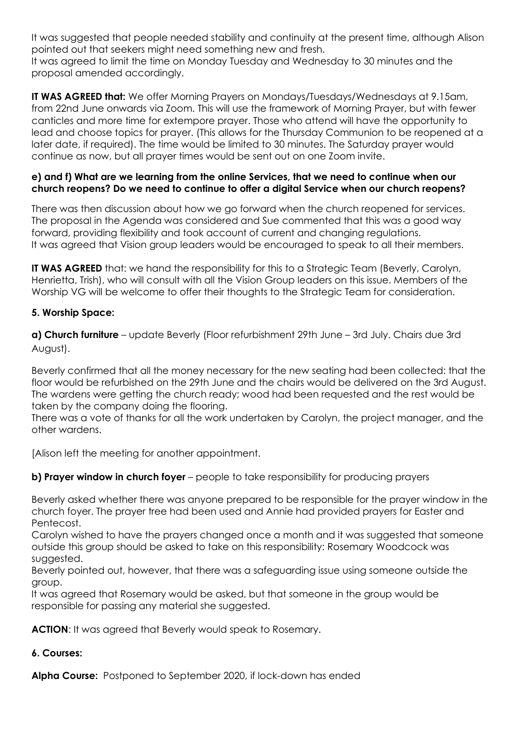It was suggested that people needed stability and continuity at the present time, although Alison pointed out that seekers might need something new and fresh.

It was agreed to limit the time on Monday Tuesday and Wednesday to 30 minutes and the proposal amended accordingly.

**IT WAS AGREED that:** We offer Morning Prayers on Mondays/Tuesdays/Wednesdays at 9.15am, from 22nd June onwards via Zoom. This will use the framework of Morning Prayer, but with fewer canticles and more time for extempore prayer. Those who attend will have the opportunity to lead and choose topics for prayer. (This allows for the Thursday Communion to be reopened at a later date, if required). The time would be limited to 30 minutes. The Saturday prayer would continue as now, but all prayer times would be sent out on one Zoom invite.

#### **e) and f) What are we learning from the online Services, that we need to continue when our church reopens? Do we need to continue to offer a digital Service when our church reopens?**

There was then discussion about how we go forward when the church reopened for services. The proposal in the Agenda was considered and Sue commented that this was a good way forward, providing flexibility and took account of current and changing regulations. It was agreed that Vision group leaders would be encouraged to speak to all their members.

**IT WAS AGREED** that: we hand the responsibility for this to a Strategic Team (Beverly, Carolyn, Henrietta, Trish), who will consult with all the Vision Group leaders on this issue. Members of the Worship VG will be welcome to offer their thoughts to the Strategic Team for consideration.

## **5. Worship Space:**

**a) Church furniture** – update Beverly (Floor refurbishment 29th June – 3rd July. Chairs due 3rd August).

Beverly confirmed that all the money necessary for the new seating had been collected: that the floor would be refurbished on the 29th June and the chairs would be delivered on the 3rd August. The wardens were getting the church ready; wood had been requested and the rest would be taken by the company doing the flooring.

There was a vote of thanks for all the work undertaken by Carolyn, the project manager, and the other wardens.

[Alison left the meeting for another appointment.

**b) Prayer window in church foyer** – people to take responsibility for producing prayers

Beverly asked whether there was anyone prepared to be responsible for the prayer window in the church foyer. The prayer tree had been used and Annie had provided prayers for Easter and Pentecost.

Carolyn wished to have the prayers changed once a month and it was suggested that someone outside this group should be asked to take on this responsibility: Rosemary Woodcock was suggested.

Beverly pointed out, however, that there was a safeguarding issue using someone outside the group.

It was agreed that Rosemary would be asked, but that someone in the group would be responsible for passing any material she suggested.

**ACTION**: It was agreed that Beverly would speak to Rosemary.

#### **6. Courses:**

**Alpha Course:** Postponed to September 2020, if lock-down has ended